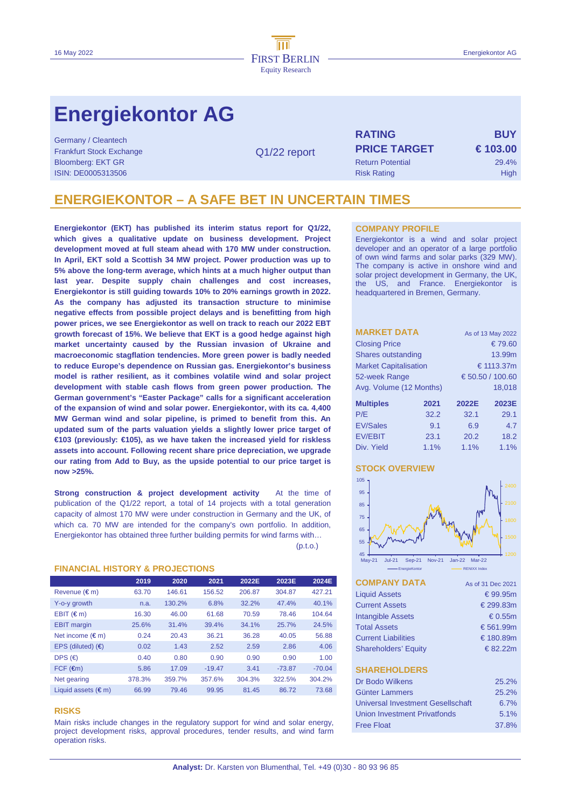# **Energiekontor AG**

Germany / Cleantech Frankfurt Stock Exchange **PRICE TARGET € 103.00**  Bloomberg: EKT GR Return Potential 29.4% ISIN: DE0005313506 Risk Rating High Risk Rating High Risk Rating High Risk Rating High Risk Rating High Risk Rating High Risk Rating High Risk Rating High Risk Rating High Risk Rating Risk Rating Risk Rating Risk Rating Ri

Q1/22 report

**RATING BUY**

## **ENERGIEKONTOR – A SAFE BET IN UNCERTAIN TIMES**

**Energiekontor (EKT) has published its interim status report for Q1/22, which gives a qualitative update on business development. Project development moved at full steam ahead with 170 MW under construction. In April, EKT sold a Scottish 34 MW project. Power production was up to 5% above the long-term average, which hints at a much higher output than last year. Despite supply chain challenges and cost increases, Energiekontor is still guiding towards 10% to 20% earnings growth in 2022. As the company has adjusted its transaction structure to minimise negative effects from possible project delays and is benefitting from high power prices, we see Energiekontor as well on track to reach our 2022 EBT growth forecast of 15%. We believe that EKT is a good hedge against high market uncertainty caused by the Russian invasion of Ukraine and macroeconomic stagflation tendencies. More green power is badly needed to reduce Europe's dependence on Russian gas. Energiekontor's business model is rather resilient, as it combines volatile wind and solar project development with stable cash flows from green power production. The German government's "Easter Package" calls for a significant acceleration of the expansion of wind and solar power. Energiekontor, with its ca. 4,400 MW German wind and solar pipeline, is primed to benefit from this. An updated sum of the parts valuation yields a slightly lower price target of €103 (previously: €105), as we have taken the increased yield for riskless assets into account. Following recent share price depreciation, we upgrade our rating from Add to Buy, as the upside potential to our price target is now >25%.** 

**Strong construction & project development activity** At the time of publication of the Q1/22 report, a total of 14 projects with a total generation capacity of almost 170 MW were under construction in Germany and the UK, of which ca. 70 MW are intended for the company's own portfolio. In addition, Energiekontor has obtained three further building permits for wind farms with…

 $(p.t.o.)$ 

### **FINANCIAL HISTORY & PROJECTIONS**

|                              | 2019   | 2020   | 2021     | 2022E  | 2023E    | 2024E    |
|------------------------------|--------|--------|----------|--------|----------|----------|
| Revenue (€m)                 | 63.70  | 146.61 | 156.52   | 206.87 | 304.87   | 427.21   |
| Y-o-y growth                 | n.a.   | 130.2% | 6.8%     | 32.2%  | 47.4%    | 40.1%    |
| $EBIT$ ( $\in$ m)            | 16.30  | 46.00  | 61.68    | 70.59  | 78.46    | 104.64   |
| <b>EBIT</b> margin           | 25.6%  | 31.4%  | 39.4%    | 34.1%  | 25.7%    | 24.5%    |
| Net income $(\epsilon m)$    | 0.24   | 20.43  | 36.21    | 36.28  | 40.05    | 56.88    |
| EPS (diluted) $(6)$          | 0.02   | 1.43   | 2.52     | 2.59   | 2.86     | 4.06     |
| DPS $(€)$                    | 0.40   | 0.80   | 0.90     | 0.90   | 0.90     | 1.00     |
| $FCF$ ( $\epsilon$ m)        | 5.86   | 17.09  | $-19.47$ | 3.41   | $-73.87$ | $-70.04$ |
| Net gearing                  | 378.3% | 359.7% | 357.6%   | 304.3% | 322.5%   | 304.2%   |
| Liquid assets $(\epsilon m)$ | 66.99  | 79.46  | 99.95    | 81.45  | 86.72    | 73.68    |

### **RISKS**

Main risks include changes in the regulatory support for wind and solar energy, project development risks, approval procedures, tender results, and wind farm operation risks.

#### **COMPANY PROFILE**

Energiekontor is a wind and solar project developer and an operator of a large portfolio of own wind farms and solar parks (329 MW). The company is active in onshore wind and solar project development in Germany, the UK, the US, and France. Energiekontor is headquartered in Bremen, Germany.

| <b>MARKET DATA</b>           | As of 13 May 2022 |                  |       |  |  |  |
|------------------------------|-------------------|------------------|-------|--|--|--|
| <b>Closing Price</b>         | € 79.60           |                  |       |  |  |  |
| Shares outstanding           |                   | 13.99m           |       |  |  |  |
| <b>Market Capitalisation</b> |                   | € 1113.37m       |       |  |  |  |
| 52-week Range                |                   | € 50.50 / 100.60 |       |  |  |  |
| Avg. Volume (12 Months)      |                   | 18.018           |       |  |  |  |
| <b>Multiples</b>             | 2021              | 2022E            | 2023E |  |  |  |
| P/E                          | 32.2              | 32.1             | 29.1  |  |  |  |
| <b>EV/Sales</b>              | 9.1               | 6.9              | 4.7   |  |  |  |
| <b>EV/EBIT</b>               | 23.1              | 20.2             | 18.2  |  |  |  |
| Div. Yield                   | 1.1%              | 1.1%             | 1.1%  |  |  |  |

## **STOCK OVERVIEW**



| <b>COMPANY DATA</b>               | As of 31 Dec 2021 |
|-----------------------------------|-------------------|
| <b>Liquid Assets</b>              | € 99.95 $m$       |
| <b>Current Assets</b>             | € 299.83m         |
| <b>Intangible Assets</b>          | € 0.55 $m$        |
| <b>Total Assets</b>               | € 561.99m         |
| <b>Current Liabilities</b>        | € 180.89m         |
| <b>Shareholders' Equity</b>       | € 82.22m          |
|                                   |                   |
| <b>SHAREHOLDERS</b>               |                   |
| Dr Bodo Wilkens                   | 25.2%             |
| Günter Lammers                    | 25.2%             |
| Universal Investment Gesellschaft | $6.7\%$           |
| Union Investment Privatfonds      | 5.1%              |
| <b>Free Float</b>                 | 37.8%             |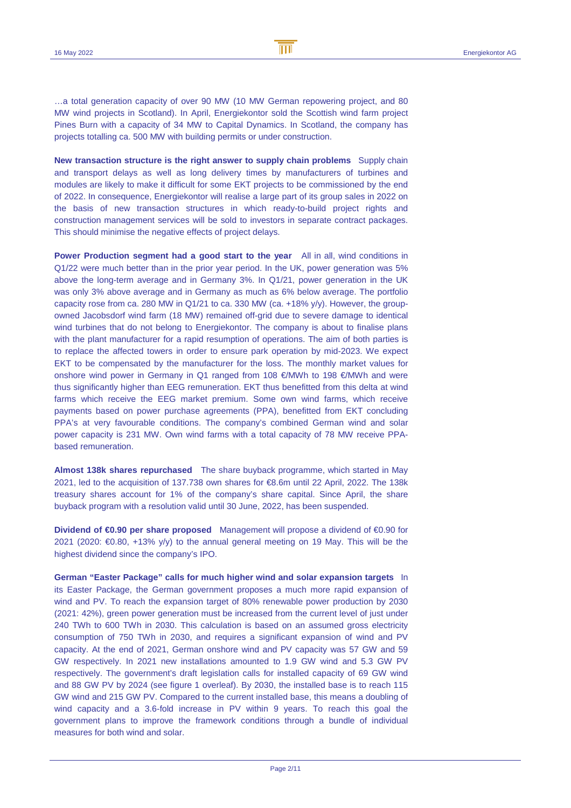…a total generation capacity of over 90 MW (10 MW German repowering project, and 80 MW wind projects in Scotland). In April, Energiekontor sold the Scottish wind farm project Pines Burn with a capacity of 34 MW to Capital Dynamics. In Scotland, the company has projects totalling ca. 500 MW with building permits or under construction.

**New transaction structure is the right answer to supply chain problems** Supply chain and transport delays as well as long delivery times by manufacturers of turbines and modules are likely to make it difficult for some EKT projects to be commissioned by the end of 2022. In consequence, Energiekontor will realise a large part of its group sales in 2022 on the basis of new transaction structures in which ready-to-build project rights and construction management services will be sold to investors in separate contract packages. This should minimise the negative effects of project delays.

**Power Production segment had a good start to the year** All in all, wind conditions in Q1/22 were much better than in the prior year period. In the UK, power generation was 5% above the long-term average and in Germany 3%. In Q1/21, power generation in the UK was only 3% above average and in Germany as much as 6% below average. The portfolio capacity rose from ca. 280 MW in  $Q1/21$  to ca. 330 MW (ca. +18% y/y). However, the groupowned Jacobsdorf wind farm (18 MW) remained off-grid due to severe damage to identical wind turbines that do not belong to Energiekontor. The company is about to finalise plans with the plant manufacturer for a rapid resumption of operations. The aim of both parties is to replace the affected towers in order to ensure park operation by mid-2023. We expect EKT to be compensated by the manufacturer for the loss. The monthly market values for onshore wind power in Germany in Q1 ranged from 108 €/MWh to 198 €/MWh and were thus significantly higher than EEG remuneration. EKT thus benefitted from this delta at wind farms which receive the EEG market premium. Some own wind farms, which receive payments based on power purchase agreements (PPA), benefitted from EKT concluding PPA's at very favourable conditions. The company's combined German wind and solar power capacity is 231 MW. Own wind farms with a total capacity of 78 MW receive PPAbased remuneration.

**Almost 138k shares repurchased** The share buyback programme, which started in May 2021, led to the acquisition of 137.738 own shares for €8.6m until 22 April, 2022. The 138k treasury shares account for 1% of the company's share capital. Since April, the share buyback program with a resolution valid until 30 June, 2022, has been suspended.

**Dividend of €0.90 per share proposed** Management will propose a dividend of €0.90 for 2021 (2020: €0.80, +13% y/y) to the annual general meeting on 19 May. This will be the highest dividend since the company's IPO.

**German "Easter Package" calls for much higher wind and solar expansion targets** In its Easter Package, the German government proposes a much more rapid expansion of wind and PV. To reach the expansion target of 80% renewable power production by 2030 (2021: 42%), green power generation must be increased from the current level of just under 240 TWh to 600 TWh in 2030. This calculation is based on an assumed gross electricity consumption of 750 TWh in 2030, and requires a significant expansion of wind and PV capacity. At the end of 2021, German onshore wind and PV capacity was 57 GW and 59 GW respectively. In 2021 new installations amounted to 1.9 GW wind and 5.3 GW PV respectively. The government's draft legislation calls for installed capacity of 69 GW wind and 88 GW PV by 2024 (see figure 1 overleaf). By 2030, the installed base is to reach 115 GW wind and 215 GW PV. Compared to the current installed base, this means a doubling of wind capacity and a 3.6-fold increase in PV within 9 years. To reach this goal the government plans to improve the framework conditions through a bundle of individual measures for both wind and solar.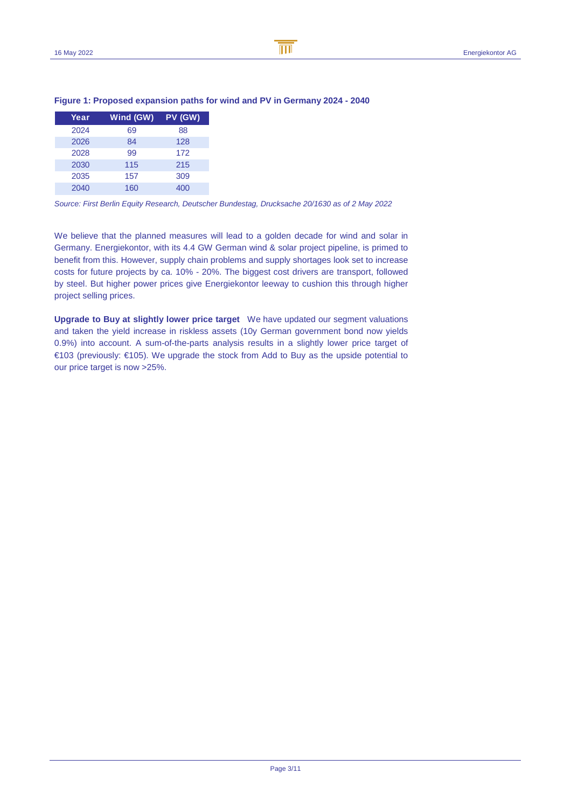B

| Year | Wind (GW) | PV (GW) |
|------|-----------|---------|
| 2024 | 69        | 88      |
| 2026 | 84        | 128     |
| 2028 | 99        | 172     |
| 2030 | 115       | 215     |
| 2035 | 157       | 309     |
| 2040 | 160       | 400     |

## **Figure 1: Proposed expansion paths for wind and PV in Germany 2024 - 2040**

Source: First Berlin Equity Research, Deutscher Bundestag, Drucksache 20/1630 as of 2 May 2022

We believe that the planned measures will lead to a golden decade for wind and solar in Germany. Energiekontor, with its 4.4 GW German wind & solar project pipeline, is primed to benefit from this. However, supply chain problems and supply shortages look set to increase costs for future projects by ca. 10% - 20%. The biggest cost drivers are transport, followed by steel. But higher power prices give Energiekontor leeway to cushion this through higher project selling prices.

**Upgrade to Buy at slightly lower price target** We have updated our segment valuations and taken the yield increase in riskless assets (10y German government bond now yields 0.9%) into account. A sum-of-the-parts analysis results in a slightly lower price target of €103 (previously: €105). We upgrade the stock from Add to Buy as the upside potential to our price target is now >25%.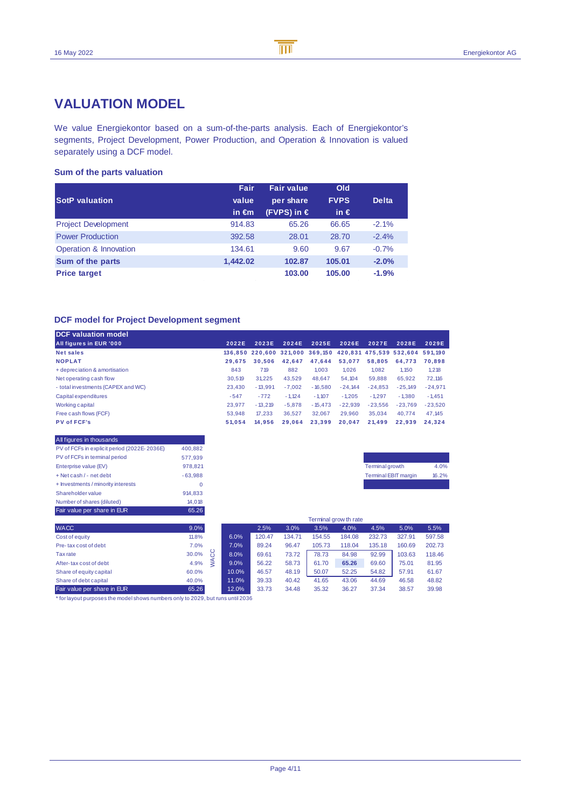## **VALUATION MODEL**

We value Energiekontor based on a sum-of-the-parts analysis. Each of Energiekontor's segments, Project Development, Power Production, and Operation & Innovation is valued separately using a DCF model.

## **Sum of the parts valuation**

| <b>SotP</b> valuation      | Fair<br>value<br>in $\epsilon$ m | <b>Fair value</b><br>per share<br>(FVPS) in € | Old<br><b>FVPS</b><br>in $\epsilon$ | <b>Delta</b> |
|----------------------------|----------------------------------|-----------------------------------------------|-------------------------------------|--------------|
| <b>Project Development</b> | 914.83                           | 65.26                                         | 66.65                               | $-2.1%$      |
| <b>Power Production</b>    | 392.58                           | 28.01                                         | 28.70                               | $-2.4%$      |
| Operation & Innovation     | 134.61                           | 9.60                                          | 9.67                                | $-0.7%$      |
| Sum of the parts           | 1.442.02                         | 102.87                                        | 105.01                              | $-2.0%$      |
| <b>Price target</b>        |                                  | 103.00                                        | 105.00                              | $-1.9%$      |

## **DCF model for Project Development segment**

| <b>DCF valuation model</b>         |        |                                                         |          |           |           |           |           |           |
|------------------------------------|--------|---------------------------------------------------------|----------|-----------|-----------|-----------|-----------|-----------|
| All figures in EUR '000            | 2022E  | 2023E                                                   | 2024E    | 2025E     | 2026E     | 2027E     | 2028E     | 2029E     |
| Net sales                          |        | 136.850 220.600 321.000 369.150 420.831 475.539 532.604 |          |           |           |           |           | 591.190   |
| <b>NOPLAT</b>                      | 29.675 | 30.506                                                  | 42.647   | 47.644    | 53.077    | 58.805    | 64.773    | 70.898    |
| + depreciation & amortisation      | 843    | 719                                                     | 882      | 1.003     | 1.026     | 1.082     | 1.150     | 1,218     |
| Net operating cash flow            | 30.519 | 31.225                                                  | 43.529   | 48.647    | 54.104    | 59.888    | 65.922    | 72.116    |
| - total investments (CAPEX and WC) | 23.430 | $-13.991$                                               | $-7.002$ | $-16.580$ | $-24.144$ | $-24.853$ | $-25.149$ | $-24.971$ |
| Capital expenditures               | $-547$ | $-772$                                                  | $-1.124$ | $-1.107$  | $-1.205$  | $-1.297$  | $-1.380$  | $-1.451$  |
| Working capital                    | 23.977 | $-13.219$                                               | $-5.878$ | $-15.473$ | $-22.939$ | $-23.556$ | $-23.769$ | $-23.520$ |
| Free cash flows (FCF)              | 53.948 | 17.233                                                  | 36.527   | 32.067    | 29,960    | 35.034    | 40.774    | 47.145    |
| <b>PV of FCF's</b>                 | 51.054 | 14.956                                                  | 29.064   | 23.399    | 20.047    | 21.499    | 22.939    | 24.324    |

| All figures in thousands                    |           |
|---------------------------------------------|-----------|
| PV of FCFs in explicit period (2022E-2036E) | 400.882   |
| PV of FCFs in terminal period               | 577.939   |
| Enterprise value (EV)                       | 978.821   |
| $+$ Net cash $/$ - net debt                 | $-63.988$ |
| + Investments / minority interests          | $\Omega$  |
| <b>Shareholder value</b>                    | 914.833   |
| Number of shares (diluted)                  | 14.018    |
| Fair value per share in EUR                 | 65.26     |



|                             | Terminal grow th rate |       |        |        |        |        |        |        |        |
|-----------------------------|-----------------------|-------|--------|--------|--------|--------|--------|--------|--------|
| <b>WACC</b>                 | 9.0%                  |       | 2.5%   | 3.0%   | 3.5%   | 4.0%   | 4.5%   | 5.0%   | 5.5%   |
| Cost of equity              | 11.8%                 | 6.0%  | 120.47 | 134.71 | 154.55 | 184.08 | 232.73 | 327.91 | 597.58 |
| Pre-tax cost of debt        | 7.0%                  | 7.0%  | 89.24  | 96.47  | 105.73 | 118.04 | 135.18 | 160.69 | 202.73 |
| Tax rate                    | ပ<br>30.0%<br>Ω       | 8.0%  | 69.61  | 73.72  | 78.73  | 84.98  | 92.99  | 103.63 | 118.46 |
| After-tax cost of debt      | 4.9%                  | 9.0%  | 56.22  | 58.73  | 61.70  | 65.26  | 69.60  | 75.01  | 81.95  |
| Share of equity capital     | 60.0%                 | 10.0% | 46.57  | 48.19  | 50.07  | 52.25  | 54.82  | 57.91  | 61.67  |
| Share of debt capital       | 40.0%                 | 11.0% | 39.33  | 40.42  | 41.65  | 43.06  | 44.69  | 46.58  | 48.82  |
| Fair value per share in EUR | 65.26                 | 12.0% | 33.73  | 34.48  | 35.32  | 36.27  | 37.34  | 38.57  | 39.98  |

\* for layout purposes the model shows numbers only to 2029, but runs until 2036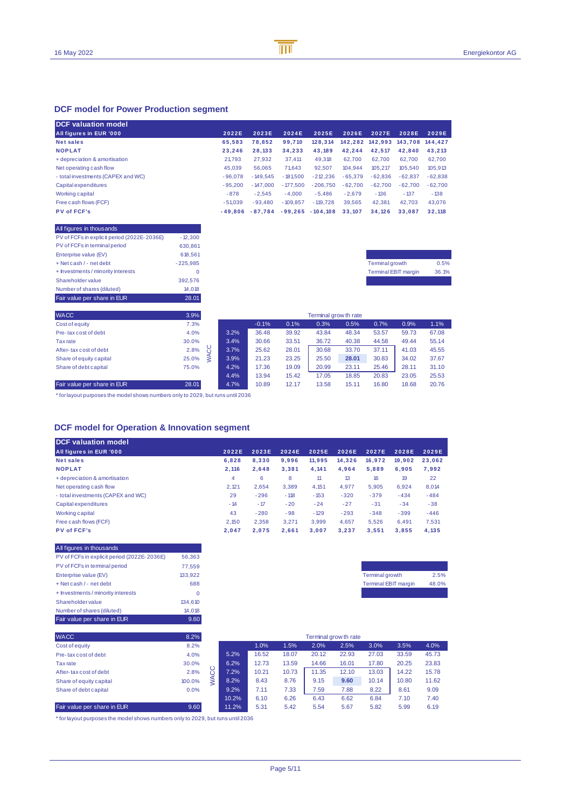## **DCF model for Power Production segment**

| <b>DCF</b> valuation model         |           |            |            |            |           |                 |                 |           |
|------------------------------------|-----------|------------|------------|------------|-----------|-----------------|-----------------|-----------|
| All figures in EUR '000            | 2022E     | 2023E      | 2024E      | 2025E      | 2026E     | 2027E           | 2028E           | 2029E     |
| <b>Net sales</b>                   | 65.583    | 78.852     | 99.710     | 128.314    |           | 142.282 142.993 | 143.708 144.427 |           |
| <b>NOPLAT</b>                      | 23.246    | 28.133     | 34.233     | 43.189     | 42.244    | 42.517          | 42.840          | 43.213    |
| + depreciation & amortisation      | 21.793    | 27.932     | 37.411     | 49.318     | 62.700    | 62.700          | 62.700          | 62.700    |
| Net operating cash flow            | 45.039    | 56.065     | 71.643     | 92.507     | 104.944   | 105.217         | 105.540         | 105,913   |
| - total investments (CAPEX and WC) | $-96.078$ | $-149.545$ | $-181.500$ | $-212.236$ | $-65.379$ | $-62.836$       | $-62.837$       | $-62.838$ |
| Capital expenditures               | $-95.200$ | $-147.000$ | $-177.500$ | $-206.750$ | $-62.700$ | $-62.700$       | $-62.700$       | $-62.700$ |
| Working capital                    | $-878$    | $-2.545$   | $-4.000$   | $-5.486$   | $-2.679$  | $-136$          | $-137$          | $-138$    |
| Free cash flows (FCF)              | $-51.039$ | $-93.480$  | $-109.857$ | $-119.728$ | 39.565    | 42.381          | 42.703          | 43.076    |
| <b>PV of FCF's</b>                 | $-49.806$ | $-87.784$  | $-99.265$  | $-104.108$ | 33.107    | 34.126          | 33.087          | 32.118    |

## All figures in thousands

| Fair value per share in EUR                 | 28.01      |
|---------------------------------------------|------------|
| Number of shares (diluted)                  | 14.018     |
| <b>Shareholder value</b>                    | 392.576    |
| + Investments / minority interests          | 0          |
| + Net cash / - net debt                     | $-225.985$ |
| Enterprise value (EV)                       | 618.561    |
| PV of FCFs in terminal period               | 630.861    |
| PV of FCFs in explicit period (2022E-2036E) | $-12.300$  |

| <b>Terminal growth</b>      | 0.5%  |
|-----------------------------|-------|
| <b>Terminal EBIT margin</b> | 36.1% |
|                             |       |

| <b>WACC</b>                 | 3.9%      | Terminal grow th rate |         |       |       |       |       |       |       |
|-----------------------------|-----------|-----------------------|---------|-------|-------|-------|-------|-------|-------|
| Cost of equity              | 7.3%      |                       | $-0.1%$ | 0.1%  | 0.3%  | 0.5%  | 0.7%  | 0.9%  | 1.1%  |
| Pre-tax cost of debt        | 4.0%      | 3.2%                  | 36.48   | 39.92 | 43.84 | 48.34 | 53.57 | 59.73 | 67.08 |
| Tax rate                    | 30.0%     | 3.4%                  | 30.66   | 33.51 | 36.72 | 40.38 | 44.58 | 49.44 | 55.14 |
| After-tax cost of debt      | 2.8%<br>Ō | 3.7%                  | 25.62   | 28.01 | 30.68 | 33.70 | 37.11 | 41.03 | 45.55 |
| Share of equity capital     | 25.0%     | 3.9%                  | 21.23   | 23.25 | 25.50 | 28.01 | 30.83 | 34.02 | 37.67 |
| Share of debt capital       | 75.0%     | 4.2%                  | 17.36   | 19.09 | 20.99 | 23.11 | 25.46 | 28.11 | 31.10 |
|                             |           | 4.4%                  | 13.94   | 15.42 | 17.05 | 18.85 | 20.83 | 23.05 | 25.53 |
| Fair value per share in EUR | 28.01     | 4.7%                  | 10.89   | 12.17 | 13.58 | 15.11 | 16.80 | 18.68 | 20.76 |

\* for layout purposes the model shows numbers only to 2029, but runs until 2036

## **DCF model for Operation & Innovation segment**

| <b>DCF</b> valuation model         |       |        |        |        |        |        |        |        |
|------------------------------------|-------|--------|--------|--------|--------|--------|--------|--------|
| All figures in EUR '000            | 2022E | 2023E  | 2024E  | 2025E  | 2026E  | 2027E  | 2028E  | 2029E  |
| <b>Net sales</b>                   | 6.828 | 8.330  | 9.996  | 11.995 | 14.326 | 16.972 | 19.902 | 23.062 |
| <b>NOPLAT</b>                      | 2.116 | 2.648  | 3.381  | 4.141  | 4.964  | 5.889  | 6.905  | 7,992  |
| + depreciation & amortisation      | 4     | 6      | 8      | 11     | 13     | 16     | 19     | 22     |
| Net operating cash flow            | 2.121 | 2.654  | 3.389  | 4,151  | 4.977  | 5,905  | 6,924  | 8,014  |
| - total investments (CAPEX and WC) | 29    | $-296$ | $-118$ | $-153$ | $-320$ | $-379$ | $-434$ | $-484$ |
| Capital expenditures               | $-14$ | $-17$  | $-20$  | $-24$  | $-27$  | $-31$  | $-34$  | $-38$  |
| Working capital                    | 43    | $-280$ | $-98$  | $-129$ | $-293$ | $-348$ | $-399$ | $-446$ |
| Free cash flows (FCF)              | 2.150 | 2.358  | 3.271  | 3.999  | 4.657  | 5.526  | 6.491  | 7.531  |
| PV of FCF's                        | 2.047 | 2.075  | 2.661  | 3.007  | 3.237  | 3.551  | 3.855  | 4.135  |

| All figures in thousands                    |         |
|---------------------------------------------|---------|
| PV of FCFs in explicit period (2022E-2036E) | 56,363  |
| PV of FCFs in terminal period               | 77.559  |
| Enterprise value (EV)                       | 133.922 |
| + Net cash / - net debt                     | 688     |
| + Investments / minority interests          |         |
| <b>Shareholder value</b>                    | 134,610 |
| Number of shares (diluted)                  | 14,018  |
| Fair value per share in EUR                 | 9.60    |

| <b>Terminal growth</b>      | 2.5%  |
|-----------------------------|-------|
| <b>Terminal EBIT margin</b> | 48.0% |
|                             |       |

| <b>WACC</b>                 | 8.2%   |        |       |       |       |       | Terminal grow th rate |       |       |       |
|-----------------------------|--------|--------|-------|-------|-------|-------|-----------------------|-------|-------|-------|
| Cost of equity              | 8.2%   |        |       | 1.0%  | 1.5%  | 2.0%  | 2.5%                  | 3.0%  | 3.5%  | 4.0%  |
| Pre-tax cost of debt        | 4.0%   |        | 5.2%  | 16.52 | 18.07 | 20.12 | 22.93                 | 27.03 | 33.59 | 45.73 |
| Tax rate                    | 30.0%  |        | 6.2%  | 12.73 | 13.59 | 14.66 | 16.01                 | 17.80 | 20.25 | 23.83 |
| After-tax cost of debt      | 2.8%   | ပ<br>Ö | 7.2%  | 10.21 | 10.73 | 11.35 | 12.10                 | 13.03 | 14.22 | 15.78 |
| Share of equity capital     | 100.0% |        | 8.2%  | 8.43  | 8.76  | 9.15  | 9.60                  | 10.14 | 10.80 | 11.62 |
| Share of debt capital       | 0.0%   |        | 9.2%  | 7.11  | 7.33  | 7.59  | 7.88                  | 8.22  | 8.61  | 9.09  |
|                             |        |        | 10.2% | 6.10  | 6.26  | 6.43  | 6.62                  | 6.84  | 7.10  | 7.40  |
| Fair value per share in EUR | 9.60   |        | 11.2% | 5.31  | 5.42  | 5.54  | 5.67                  | 5.82  | 5.99  | 6.19  |

\* for layout purposes the model shows numbers only to 2029, but runs until 2036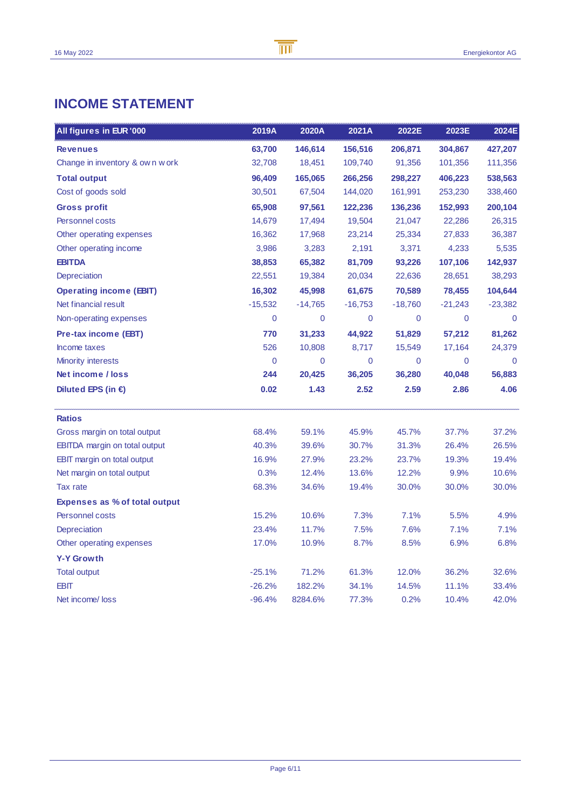## **INCOME STATEMENT**

| All figures in EUR '000              | 2019A       | 2020A     | 2021A     | 2022E     | 2023E     | 2024E     |
|--------------------------------------|-------------|-----------|-----------|-----------|-----------|-----------|
| <b>Revenues</b>                      | 63,700      | 146,614   | 156,516   | 206,871   | 304,867   | 427,207   |
| Change in inventory & own work       | 32,708      | 18,451    | 109,740   | 91,356    | 101,356   | 111,356   |
| <b>Total output</b>                  | 96,409      | 165,065   | 266,256   | 298,227   | 406,223   | 538,563   |
| Cost of goods sold                   | 30,501      | 67,504    | 144,020   | 161,991   | 253,230   | 338,460   |
| <b>Gross profit</b>                  | 65,908      | 97,561    | 122,236   | 136,236   | 152,993   | 200,104   |
| Personnel costs                      | 14,679      | 17,494    | 19,504    | 21,047    | 22,286    | 26,315    |
| Other operating expenses             | 16,362      | 17,968    | 23,214    | 25,334    | 27,833    | 36,387    |
| Other operating income               | 3,986       | 3,283     | 2,191     | 3,371     | 4,233     | 5,535     |
| <b>EBITDA</b>                        | 38,853      | 65,382    | 81,709    | 93,226    | 107,106   | 142,937   |
| Depreciation                         | 22,551      | 19,384    | 20,034    | 22,636    | 28,651    | 38,293    |
| <b>Operating income (EBIT)</b>       | 16,302      | 45,998    | 61,675    | 70,589    | 78,455    | 104,644   |
| Net financial result                 | $-15,532$   | $-14,765$ | $-16,753$ | $-18,760$ | $-21,243$ | $-23,382$ |
| Non-operating expenses               | 0           | 0         | 0         | 0         | 0         | 0         |
| Pre-tax income (EBT)                 | 770         | 31,233    | 44,922    | 51,829    | 57,212    | 81,262    |
| Income taxes                         | 526         | 10,808    | 8,717     | 15,549    | 17,164    | 24,379    |
| <b>Minority interests</b>            | $\mathbf 0$ | 0         | 0         | 0         | 0         | 0         |
| Net income / loss                    | 244         | 20,425    | 36,205    | 36,280    | 40,048    | 56,883    |
| Diluted EPS (in $\epsilon$ )         | 0.02        | 1.43      | 2.52      | 2.59      | 2.86      | 4.06      |
| <b>Ratios</b>                        |             |           |           |           |           |           |
| Gross margin on total output         | 68.4%       | 59.1%     | 45.9%     | 45.7%     | 37.7%     | 37.2%     |
| <b>EBITDA</b> margin on total output | 40.3%       | 39.6%     | 30.7%     | 31.3%     | 26.4%     | 26.5%     |
| EBIT margin on total output          | 16.9%       | 27.9%     | 23.2%     | 23.7%     | 19.3%     | 19.4%     |
| Net margin on total output           | 0.3%        | 12.4%     | 13.6%     | 12.2%     | 9.9%      | 10.6%     |
| Tax rate                             | 68.3%       | 34.6%     | 19.4%     | 30.0%     | 30.0%     | 30.0%     |
| <b>Expenses as % of total output</b> |             |           |           |           |           |           |
| Personnel costs                      | 15.2%       | 10.6%     | 7.3%      | 7.1%      | 5.5%      | 4.9%      |
| Depreciation                         | 23.4%       | 11.7%     | 7.5%      | 7.6%      | 7.1%      | 7.1%      |
| Other operating expenses             | 17.0%       | 10.9%     | 8.7%      | 8.5%      | 6.9%      | 6.8%      |
| <b>Y-Y Growth</b>                    |             |           |           |           |           |           |
| <b>Total output</b>                  | $-25.1%$    | 71.2%     | 61.3%     | 12.0%     | 36.2%     | 32.6%     |
| <b>EBIT</b>                          | $-26.2%$    | 182.2%    | 34.1%     | 14.5%     | 11.1%     | 33.4%     |
| Net income/loss                      | $-96.4%$    | 8284.6%   | 77.3%     | 0.2%      | 10.4%     | 42.0%     |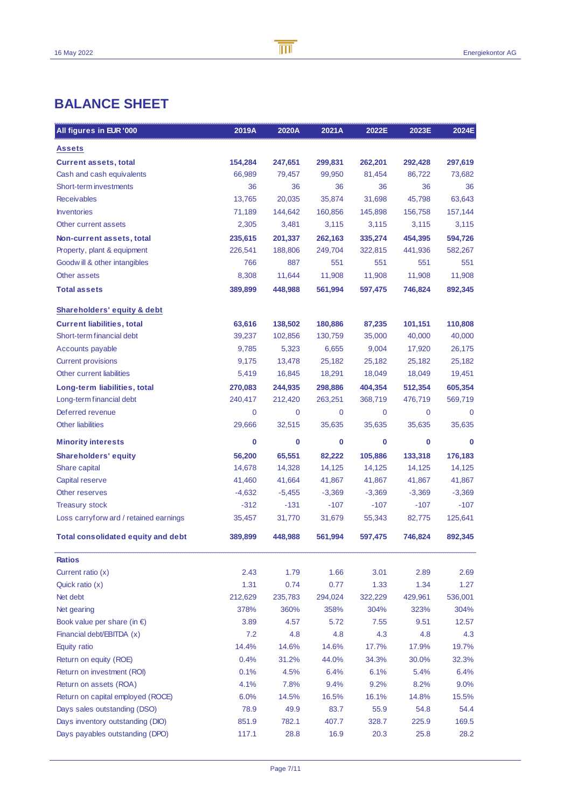## **BALANCE SHEET**

| All figures in EUR '000                   | 2019A       | 2020A    | 2021A       | 2022E    | 2023E    | 2024E    |
|-------------------------------------------|-------------|----------|-------------|----------|----------|----------|
| <b>Assets</b>                             |             |          |             |          |          |          |
| <b>Current assets, total</b>              | 154,284     | 247,651  | 299,831     | 262,201  | 292,428  | 297,619  |
| Cash and cash equivalents                 | 66.989      | 79,457   | 99,950      | 81,454   | 86,722   | 73,682   |
| Short-term investments                    | 36          | 36       | 36          | 36       | 36       | 36       |
| <b>Receivables</b>                        | 13,765      | 20,035   | 35,874      | 31,698   | 45,798   | 63,643   |
| <b>Inventories</b>                        | 71,189      | 144,642  | 160,856     | 145,898  | 156,758  | 157,144  |
| Other current assets                      | 2,305       | 3,481    | 3,115       | 3,115    | 3,115    | 3,115    |
| Non-current assets, total                 | 235,615     | 201,337  | 262,163     | 335.274  | 454,395  | 594,726  |
| Property, plant & equipment               | 226,541     | 188,806  | 249,704     | 322,815  | 441,936  | 582,267  |
| Goodwill & other intangibles              | 766         | 887      | 551         | 551      | 551      | 551      |
| Other assets                              | 8,308       | 11,644   | 11,908      | 11,908   | 11,908   | 11,908   |
| <b>Total assets</b>                       | 389,899     | 448,988  | 561,994     | 597,475  | 746,824  | 892,345  |
| Shareholders' equity & debt               |             |          |             |          |          |          |
| <b>Current liabilities, total</b>         | 63,616      | 138,502  | 180,886     | 87,235   | 101,151  | 110,808  |
| Short-term financial debt                 | 39,237      | 102,856  | 130,759     | 35,000   | 40,000   | 40,000   |
| Accounts payable                          | 9,785       | 5,323    | 6,655       | 9,004    | 17,920   | 26,175   |
| <b>Current provisions</b>                 | 9,175       | 13,478   | 25,182      | 25,182   | 25,182   | 25,182   |
| Other current liabilities                 | 5,419       | 16,845   | 18,291      | 18,049   | 18,049   | 19,451   |
| Long-term liabilities, total              | 270,083     | 244,935  | 298,886     | 404,354  | 512,354  | 605,354  |
| Long-term financial debt                  | 240,417     | 212,420  | 263,251     | 368,719  | 476,719  | 569,719  |
| Deferred revenue                          | $\mathbf 0$ | 0        | $\mathbf 0$ | 0        | 0        | $\Omega$ |
| <b>Other liabilities</b>                  | 29,666      | 32,515   | 35,635      | 35,635   | 35,635   | 35,635   |
| <b>Minority interests</b>                 | $\bf{0}$    | 0        | 0           | 0        | 0        | $\bf{0}$ |
| <b>Shareholders' equity</b>               | 56,200      | 65,551   | 82,222      | 105,886  | 133,318  | 176,183  |
| Share capital                             | 14,678      | 14,328   | 14,125      | 14,125   | 14,125   | 14,125   |
| Capital reserve                           | 41,460      | 41,664   | 41,867      | 41,867   | 41,867   | 41,867   |
| Other reserves                            | $-4,632$    | $-5,455$ | $-3,369$    | $-3,369$ | $-3,369$ | $-3,369$ |
| <b>Treasury stock</b>                     | $-312$      | $-131$   | $-107$      | $-107$   | $-107$   | $-107$   |
| Loss carryforw ard / retained earnings    | 35,457      | 31,770   | 31,679      | 55,343   | 82,775   | 125,641  |
| <b>Total consolidated equity and debt</b> | 389,899     | 448,988  | 561,994     | 597,475  | 746,824  | 892,345  |
| <b>Ratios</b>                             |             |          |             |          |          |          |
| Current ratio $(x)$                       | 2.43        | 1.79     | 1.66        | 3.01     | 2.89     | 2.69     |
| Quick ratio (x)                           | 1.31        | 0.74     | 0.77        | 1.33     | 1.34     | 1.27     |
| Net debt                                  | 212,629     | 235,783  | 294,024     | 322,229  | 429,961  | 536,001  |
| Net gearing                               | 378%        | 360%     | 358%        | 304%     | 323%     | 304%     |
| Book value per share (in $\epsilon$ )     | 3.89        | 4.57     | 5.72        | 7.55     | 9.51     | 12.57    |
| Financial debt/EBITDA (x)                 | 7.2         | 4.8      | 4.8         | 4.3      | 4.8      | 4.3      |
| Equity ratio                              | 14.4%       | 14.6%    | 14.6%       | 17.7%    | 17.9%    | 19.7%    |
| Return on equity (ROE)                    | 0.4%        | 31.2%    | 44.0%       | 34.3%    | 30.0%    | 32.3%    |
| Return on investment (ROI)                | 0.1%        | 4.5%     | 6.4%        | 6.1%     | 5.4%     | 6.4%     |
| Return on assets (ROA)                    | 4.1%        | 7.8%     | 9.4%        | 9.2%     | 8.2%     | 9.0%     |
| Return on capital employed (ROCE)         | 6.0%        | 14.5%    | 16.5%       | 16.1%    | 14.8%    | 15.5%    |
| Days sales outstanding (DSO)              | 78.9        | 49.9     | 83.7        | 55.9     | 54.8     | 54.4     |
| Days inventory outstanding (DIO)          | 851.9       | 782.1    | 407.7       | 328.7    | 225.9    | 169.5    |
| Days payables outstanding (DPO)           | 117.1       | 28.8     | 16.9        | 20.3     | 25.8     | 28.2     |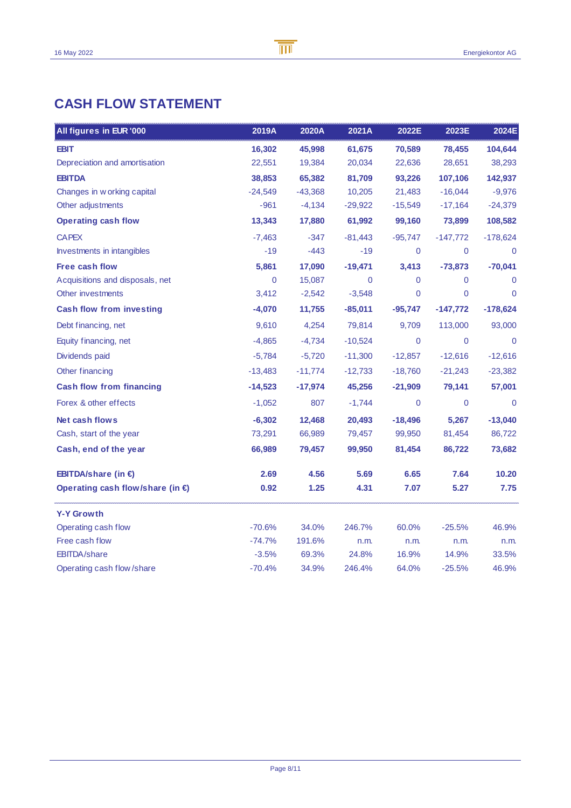## **CASH FLOW STATEMENT**

| All figures in EUR '000          | 2019A       | 2020A     | 2021A       | 2022E       | 2023E      | 2024E          |
|----------------------------------|-------------|-----------|-------------|-------------|------------|----------------|
| <b>EBIT</b>                      | 16,302      | 45,998    | 61,675      | 70,589      | 78,455     | 104,644        |
| Depreciation and amortisation    | 22,551      | 19,384    | 20,034      | 22,636      | 28,651     | 38,293         |
| <b>EBITDA</b>                    | 38,853      | 65,382    | 81,709      | 93,226      | 107,106    | 142,937        |
| Changes in w orking capital      | $-24,549$   | $-43,368$ | 10,205      | 21,483      | $-16,044$  | $-9,976$       |
| Other adjustments                | $-961$      | $-4,134$  | $-29,922$   | $-15,549$   | $-17,164$  | $-24,379$      |
| <b>Operating cash flow</b>       | 13,343      | 17,880    | 61,992      | 99,160      | 73,899     | 108,582        |
| <b>CAPEX</b>                     | $-7,463$    | $-347$    | $-81,443$   | $-95,747$   | $-147,772$ | $-178,624$     |
| Investments in intangibles       | $-19$       | $-443$    | $-19$       | $\mathbf 0$ | 0          | $\mathbf 0$    |
| <b>Free cash flow</b>            | 5,861       | 17,090    | $-19,471$   | 3,413       | $-73,873$  | $-70,041$      |
| Acquisitions and disposals, net  | $\mathbf 0$ | 15,087    | $\mathbf 0$ | $\mathbf 0$ | 0          | $\Omega$       |
| Other investments                | 3,412       | $-2,542$  | $-3,548$    | 0           | 0          | $\overline{0}$ |
| <b>Cash flow from investing</b>  | $-4,070$    | 11,755    | $-85,011$   | $-95,747$   | $-147,772$ | $-178,624$     |
| Debt financing, net              | 9,610       | 4,254     | 79,814      | 9,709       | 113,000    | 93,000         |
| Equity financing, net            | $-4,865$    | $-4,734$  | $-10,524$   | 0           | 0          | $\mathbf 0$    |
| Dividends paid                   | $-5,784$    | $-5,720$  | $-11,300$   | $-12,857$   | $-12,616$  | $-12,616$      |
| Other financing                  | -13,483     | $-11,774$ | $-12,733$   | $-18,760$   | $-21,243$  | $-23,382$      |
| <b>Cash flow from financing</b>  | $-14,523$   | $-17,974$ | 45,256      | $-21,909$   | 79,141     | 57,001         |
| Forex & other effects            | $-1,052$    | 807       | $-1,744$    | $\mathbf 0$ | 0          | $\mathbf 0$    |
| Net cash flows                   | $-6,302$    | 12,468    | 20,493      | $-18,496$   | 5,267      | $-13,040$      |
| Cash, start of the year          | 73,291      | 66,989    | 79,457      | 99,950      | 81,454     | 86,722         |
| Cash, end of the year            | 66,989      | 79,457    | 99,950      | 81,454      | 86,722     | 73,682         |
| EBITDA/share (in €)              | 2.69        | 4.56      | 5.69        | 6.65        | 7.64       | 10.20          |
| Operating cash flow/share (in €) | 0.92        | 1.25      | 4.31        | 7.07        | 5.27       | 7.75           |
| <b>Y-Y Growth</b>                |             |           |             |             |            |                |
| Operating cash flow              | $-70.6%$    | 34.0%     | 246.7%      | 60.0%       | $-25.5%$   | 46.9%          |
| Free cash flow                   | $-74.7%$    | 191.6%    | n.m.        | n.m.        | n.m.       | n.m.           |
| <b>EBITDA/share</b>              | $-3.5%$     | 69.3%     | 24.8%       | 16.9%       | 14.9%      | 33.5%          |
| Operating cash flow/share        | $-70.4%$    | 34.9%     | 246.4%      | 64.0%       | $-25.5%$   | 46.9%          |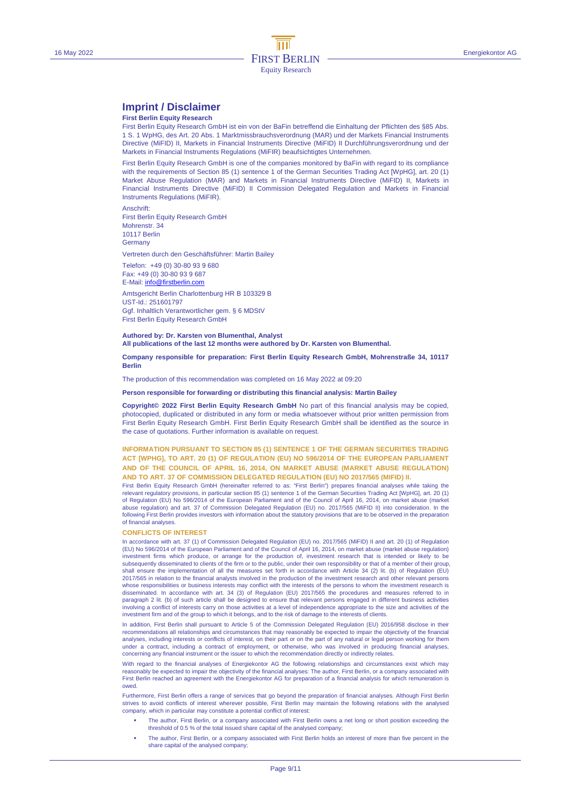## **Imprint / Disclaimer**

#### **First Berlin Equity Research**

First Berlin Equity Research GmbH ist ein von der BaFin betreffend die Einhaltung der Pflichten des §85 Abs. 1 S. 1 WpHG, des Art. 20 Abs. 1 Marktmissbrauchsverordnung (MAR) und der Markets Financial Instruments Directive (MiFID) II, Markets in Financial Instruments Directive (MiFID) II Durchführungsverordnung und der Markets in Financial Instruments Regulations (MiFIR) beaufsichtigtes Unternehmen.

First Berlin Equity Research GmbH is one of the companies monitored by BaFin with regard to its compliance with the requirements of Section 85 (1) sentence 1 of the German Securities Trading Act [WpHG], art. 20 (1) Market Abuse Regulation (MAR) and Markets in Financial Instruments Directive (MiFID) II, Markets in Financial Instruments Directive (MiFID) II Commission Delegated Regulation and Markets in Financial Instruments Regulations (MiFIR).

Anschrift: First Berlin Equity Research GmbH Mohrenstr. 34 10117 Berlin **Germany** 

Vertreten durch den Geschäftsführer: Martin Bailey

Telefon: +49 (0) 30-80 93 9 680

Fax: +49 (0) 30-80 93 9 687 E-Mail: info@firstberlin.com

Amtsgericht Berlin Charlottenburg HR B 103329 B UST-Id.: 251601797 Ggf. Inhaltlich Verantwortlicher gem. § 6 MDStV First Berlin Equity Research GmbH

#### **Authored by: Dr. Karsten von Blumenthal, Analyst All publications of the last 12 months were authored by Dr. Karsten von Blumenthal.**

#### **Company responsible for preparation: First Berlin Equity Research GmbH, Mohrenstraße 34, 10117 Berlin**

The production of this recommendation was completed on 16 May 2022 at 09:20

#### **Person responsible for forwarding or distributing this financial analysis: Martin Bailey**

**Copyright© 2022 First Berlin Equity Research GmbH** No part of this financial analysis may be copied, photocopied, duplicated or distributed in any form or media whatsoever without prior written permission from First Berlin Equity Research GmbH. First Berlin Equity Research GmbH shall be identified as the source in the case of quotations. Further information is available on request.

#### **INFORMATION PURSUANT TO SECTION 85 (1) SENTENCE 1 OF THE GERMAN SECURITIES TRADING ACT [WPHG], TO ART. 20 (1) OF REGULATION (EU) NO 596/2014 OF THE EUROPEAN PARLIAMENT AND OF THE COUNCIL OF APRIL 16, 2014, ON MARKET ABUSE (MARKET ABUSE REGULATION) AND TO ART. 37 OF COMMISSION DELEGATED REGULATION (EU) NO 2017/565 (MIFID) II.**

First Berlin Equity Research GmbH (hereinafter referred to as: "First Berlin") prepares financial analyses while taking the relevant regulatory provisions, in particular section 85 (1) sentence 1 of the German Securities Trading Act [WpHG], art. 20 (1) of Regulation (EU) No 596/2014 of the European Parliament and of the Council of April 16, 2014, on market abuse (market abuse regulation) and art. 37 of Commission Delegated Regulation (EU) no. 2017/565 (MiFID II) into consideration. In the following First Berlin provides investors with information about the statutory provisions that are to be observed in the preparation of financial analyses.

#### **CONFLICTS OF INTEREST**

In accordance with art. 37 (1) of Commission Delegated Regulation (EU) no. 2017/565 (MiFID) II and art. 20 (1) of Regulation (EU) No 596/2014 of the European Parliament and of the Council of April 16, 2014, on market abuse (market abuse regulation) investment firms which produce, or arrange for the production of, investment research that is intended or likely to be<br>subsequently disseminated to clients of the firm or to the public, under their own responsibility or th shall ensure the implementation of all the measures set forth in accordance with Article 34 (2) lit. (b) of Regulation (EU) 2017/565 in relation to the financial analysts involved in the production of the investment research and other relevant persons whose responsibilities or business interests may conflict with the interests of the persons to whom the investment research is disseminated. In accordance with art. 34 (3) of Regulation (EU) 2017/565 the procedures and measures referred to in paragraph 2 lit. (b) of such article shall be designed to ensure that relevant persons engaged in different business activities involving a conflict of interests carry on those activities at a level of independence appropriate to the size and activities of the investment firm and of the group to which it belongs, and to the risk of damage to the interests of clients.

In addition, First Berlin shall pursuant to Article 5 of the Commission Delegated Regulation (EU) 2016/958 disclose in their recommendations all relationships and circumstances that may reasonably be expected to impair the objectivity of the financial<br>analyses, including interests or conflicts of interest, on their part or on the part of any nat under a contract, including a contract of employment, or otherwise, who was involved in producing financial analyses, concerning any financial instrument or the issuer to which the recommendation directly or indirectly relates.

With regard to the financial analyses of Energiekontor AG the following relationships and circumstances exist which may reasonably be expected to impair the objectivity of the financial analyses: The author, First Berlin, or a company associated with First Berlin reached an agreement with the Energiekontor AG for preparation of a financial analysis for which remuneration is owed.

Furthermore, First Berlin offers a range of services that go beyond the preparation of financial analyses. Although First Berlin<br>strives to avoid conflicts of interest wherever possible, First Berlin may maintain the follo company, which in particular may constitute a potential conflict of interest:

- The author, First Berlin, or a company associated with First Berlin owns a net long or short position exceeding the threshold of 0.5 % of the total issued share capital of the analysed company;
- The author, First Berlin, or a company associated with First Berlin holds an interest of more than five percent in the share capital of the analysed company;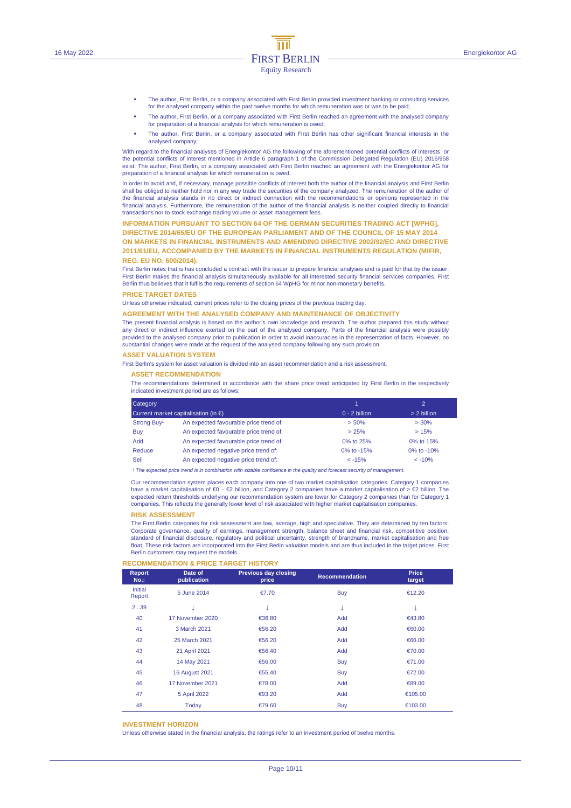- The author, First Berlin, or a company associated with First Berlin provided investment banking or consulting services for the analysed company within the past twelve months for which remuneration was or was to be paid;
- The author, First Berlin, or a company associated with First Berlin reached an agreement with the analysed company for preparation of a financial analysis for which remuneration is owed;
- The author, First Berlin, or a company associated with First Berlin has other significant financial interests in the analysed company;

With regard to the financial analyses of Energiekontor AG the following of the aforementioned potential conflicts of interests or the potential conflicts of interest mentioned in Article 6 paragraph 1 of the Commission Delegated Regulation (EU) 2016/958 exist: The author, First Berlin, or a company associated with First Berlin reached an agreement with the Energiekontor AG for preparation of a financial analysis for which remuneration is owed.

In order to avoid and, if necessary, manage possible conflicts of interest both the author of the financial analysis and First Berlin shall be obliged to neither hold nor in any way trade the securities of the company analyzed. The remuneration of the author of<br>the financial analysis stands in no direct or indirect connection with the recommendations or financial analysis. Furthermore, the remuneration of the author of the financial analysis is neither coupled directly to financial transactions nor to stock exchange trading volume or asset management fees.

#### **INFORMATION PURSUANT TO SECTION 64 OF THE GERMAN SECURITIES TRADING ACT [WPHG],**

**DIRECTIVE 2014/65/EU OF THE EUROPEAN PARLIAMENT AND OF THE COUNCIL OF 15 MAY 2014 ON MARKETS IN FINANCIAL INSTRUMENTS AND AMENDING DIRECTIVE 2002/92/EC AND DIRECTIVE 2011/61/EU, ACCOMPANIED BY THE MARKETS IN FINANCIAL INSTRUMENTS REGULATION (MIFIR, REG. EU NO. 600/2014).** 

First Berlin notes that is has concluded a contract with the issuer to prepare financial analyses and is paid for that by the issuer. First Berlin makes the financial analysis simultaneously available for all interested security financial services companies. First Berlin thus believes that it fulfils the requirements of section 64 WpHG for minor non-monetary benefits.

#### **PRICE TARGET DATES**

Unless otherwise indicated, current prices refer to the closing prices of the previous trading day.

#### **AGREEMENT WITH THE ANALYSED COMPANY AND MAINTENANCE OF OBJECTIVITY**

The present financial analysis is based on the author's own knowledge and research. The author prepared this study without any direct or indirect influence exerted on the part of the analysed company. Parts of the financial analysis were possibly provided to the analysed company prior to publication in order to avoid inaccuracies in the representation of facts. However, no substantial changes were made at the request of the analysed company following any such provision.

#### **ASSET VALUATION SYSTEM**

First Berlin's system for asset valuation is divided into an asset recommendation and a risk assessment.

#### **ASSET RECOMMENDATION**

The recommendations determined in accordance with the share price trend anticipated by First Berlin in the respectively indicated investment period are as follows:

| Category                |                                                |                 | $\mathcal{D}$ |
|-------------------------|------------------------------------------------|-----------------|---------------|
|                         | Current market capitalisation (in $\epsilon$ ) | $0 - 2$ billion | > 2 billion   |
| Strong Buy <sup>1</sup> | An expected favourable price trend of:         | > 50%           | $> 30\%$      |
| Buy                     | An expected favourable price trend of:         | > 25%           | >15%          |
| <b>Add</b>              | An expected favourable price trend of:         | 0% to 25%       | 0% to 15%     |
| Reduce                  | An expected negative price trend of:           | 0% to -15%      | 0% to $-10%$  |
| Sell                    | An expected negative price trend of:           | $< -15%$        | $< -10%$      |

<sup>1</sup> The expected price trend is in combination with sizable confidence in the quality and forecast security of managen

Our recommendation system places each company into one of two market capitalisation categories. Category 1 companies have a market capitalisation of €0 – €2 billion, and Category 2 companies have a market capitalisation of > €2 billion. The expected return thresholds underlying our recommendation system are lower for Category 2 companies than for Category 1 companies. This reflects the generally lower level of risk associated with higher market capitalisation companies.

#### **RISK ASSESSMENT**

The First Berlin categories for risk assessment are low, average, high and speculative. They are determined by ten factors: Corporate governance, quality of earnings, management strength, balance sheet and financial risk, competitive position, standard of financial disclosure, regulatory and political uncertainty, strength of brandname, market capitalisation and free float. These risk factors are incorporated into the First Berlin valuation models and are thus included in the target prices. First Berlin customers may request the models.

#### **RECOMMENDATION & PRICE TARGET HISTORY**

| Report<br>$No.$ : | Date of<br>publication | <b>Previous day closing</b><br>price | <b>Recommendation</b> | Price<br>target |
|-------------------|------------------------|--------------------------------------|-----------------------|-----------------|
| Initial<br>Report | 5 June 2014            | €7.70                                | <b>Buy</b>            | €12.20          |
| 239               | Φ                      | ↓                                    | Ψ                     | v               |
| 40                | 17 November 2020       | €36.80                               | Add                   | €43.80          |
| 41                | 3 March 2021           | €56.20                               | Add                   | €60.00          |
| 42                | 25 March 2021          | €56.20                               | Add                   | €66.00          |
| 43                | 21 April 2021          | €56.40                               | Add                   | €70.00          |
| 44                | 14 May 2021            | €56.00                               | <b>Buy</b>            | €71.00          |
| 45                | <b>16 August 2021</b>  | €55.40                               | <b>Buy</b>            | €72.00          |
| 46                | 17 November 2021       | €78.00                               | Add                   | €89.00          |
| 47                | 5 April 2022           | €93.20                               | Add                   | €105.00         |
| 48                | Today                  | €79.60                               | Buy                   | €103.00         |

#### **INVESTMENT HORIZON**

Unless otherwise stated in the financial analysis, the ratings refer to an investment period of twelve months.